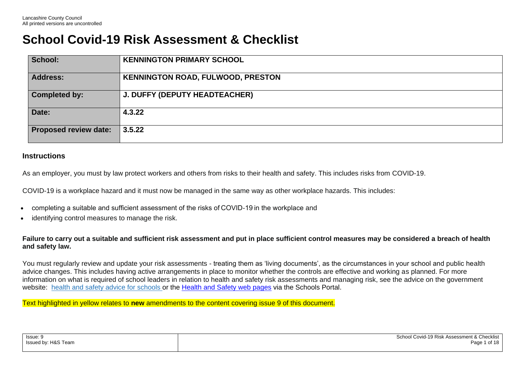## **School Covid-19 Risk Assessment & Checklist**

| School:                      | <b>KENNINGTON PRIMARY SCHOOL</b>         |
|------------------------------|------------------------------------------|
| <b>Address:</b>              | <b>KENNINGTON ROAD, FULWOOD, PRESTON</b> |
| <b>Completed by:</b>         | <b>J. DUFFY (DEPUTY HEADTEACHER)</b>     |
| Date:                        | 4.3.22                                   |
| <b>Proposed review date:</b> | 3.5.22                                   |

## **Instructions**

As an employer, you must by law protect workers and others from risks to their health and safety. This includes risks from COVID-19.

COVID-19 is a workplace hazard and it must now be managed in the same way as other workplace hazards. This includes:

- completing a suitable and sufficient assessment of the risks of COVID-19 in the workplace and
- identifying control measures to manage the risk.

**Failure to carry out a suitable and sufficient risk assessment and put in place sufficient control measures may be considered a breach of health and safety law.**

You must regularly review and update your risk assessments - treating them as 'living documents', as the circumstances in your school and public health advice changes. This includes having active arrangements in place to monitor whether the controls are effective and working as planned. For more information on what is required of school leaders in relation to health and safety risk assessments and managing risk, see the advice on the government website: health and safety advice for [schools](https://www.gov.uk/government/publications/health-and-safety-advice-for-schools/responsibilities-and-duties-for-schools) or the [Health](https://schoolsportal.lancsngfl.ac.uk/view_sp.asp?siteid=3726&pageid=16069&e=e) and Safety web pages via the Schools Portal.

Text highlighted in yellow relates to **new** amendments to the content covering issue 9 of this document.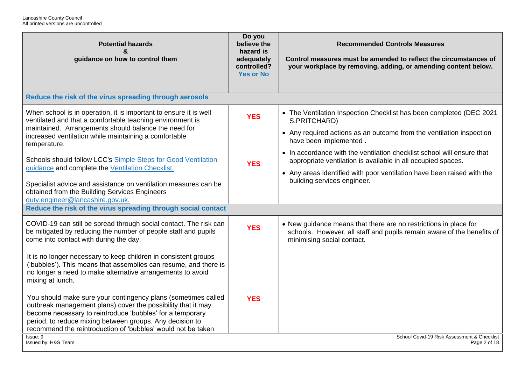| <b>Potential hazards</b><br>&<br>guidance on how to control them                                                                                                                                                                                                                                                                                                                                                                                                                                                                             |  | Do you<br>believe the<br>hazard is<br>adequately<br>controlled?<br><b>Yes or No</b> | <b>Recommended Controls Measures</b><br>Control measures must be amended to reflect the circumstances of<br>your workplace by removing, adding, or amending content below.                                                                                                                                                                                                                                                               |
|----------------------------------------------------------------------------------------------------------------------------------------------------------------------------------------------------------------------------------------------------------------------------------------------------------------------------------------------------------------------------------------------------------------------------------------------------------------------------------------------------------------------------------------------|--|-------------------------------------------------------------------------------------|------------------------------------------------------------------------------------------------------------------------------------------------------------------------------------------------------------------------------------------------------------------------------------------------------------------------------------------------------------------------------------------------------------------------------------------|
| Reduce the risk of the virus spreading through aerosols                                                                                                                                                                                                                                                                                                                                                                                                                                                                                      |  |                                                                                     |                                                                                                                                                                                                                                                                                                                                                                                                                                          |
| When school is in operation, it is important to ensure it is well<br>ventilated and that a comfortable teaching environment is<br>maintained. Arrangements should balance the need for<br>increased ventilation while maintaining a comfortable<br>temperature.<br>Schools should follow LCC's Simple Steps for Good Ventilation<br>guidance and complete the Ventilation Checklist.<br>Specialist advice and assistance on ventilation measures can be<br>obtained from the Building Services Engineers<br>duty.engineer@lancashire.gov.uk. |  | <b>YES</b><br><b>YES</b>                                                            | • The Ventilation Inspection Checklist has been completed (DEC 2021<br>S.PRITCHARD)<br>• Any required actions as an outcome from the ventilation inspection<br>have been implemented.<br>• In accordance with the ventilation checklist school will ensure that<br>appropriate ventilation is available in all occupied spaces.<br>• Any areas identified with poor ventilation have been raised with the<br>building services engineer. |
| Reduce the risk of the virus spreading through social contact                                                                                                                                                                                                                                                                                                                                                                                                                                                                                |  |                                                                                     |                                                                                                                                                                                                                                                                                                                                                                                                                                          |
| COVID-19 can still be spread through social contact. The risk can<br>be mitigated by reducing the number of people staff and pupils<br>come into contact with during the day.<br>It is no longer necessary to keep children in consistent groups<br>('bubbles'). This means that assemblies can resume, and there is<br>no longer a need to make alternative arrangements to avoid<br>mixing at lunch.                                                                                                                                       |  | <b>YES</b>                                                                          | • New guidance means that there are no restrictions in place for<br>schools. However, all staff and pupils remain aware of the benefits of<br>minimising social contact.                                                                                                                                                                                                                                                                 |
| You should make sure your contingency plans (sometimes called<br>outbreak management plans) cover the possibility that it may<br>become necessary to reintroduce 'bubbles' for a temporary<br>period, to reduce mixing between groups. Any decision to<br>recommend the reintroduction of 'bubbles' would not be taken<br>Issue: 9<br>Issued by: H&S Team                                                                                                                                                                                    |  | <b>YES</b>                                                                          | School Covid-19 Risk Assessment & Checklist<br>Page 2 of 18                                                                                                                                                                                                                                                                                                                                                                              |
|                                                                                                                                                                                                                                                                                                                                                                                                                                                                                                                                              |  |                                                                                     |                                                                                                                                                                                                                                                                                                                                                                                                                                          |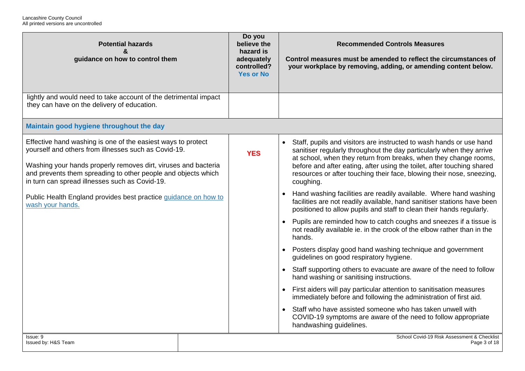| <b>Potential hazards</b><br>&<br>guidance on how to control them                                                                                                                                                                                                                                                                                                                                 | Do you<br>believe the<br>hazard is<br>adequately<br>controlled?<br><b>Yes or No</b> | <b>Recommended Controls Measures</b><br>Control measures must be amended to reflect the circumstances of<br>your workplace by removing, adding, or amending content below.                                                                                                                                                                                                                                                                                                                                                                                                                                                                                                                                                                                                                                                                                                                                                                                                                                                                                                                                                                                                                                                                                                                                                   |
|--------------------------------------------------------------------------------------------------------------------------------------------------------------------------------------------------------------------------------------------------------------------------------------------------------------------------------------------------------------------------------------------------|-------------------------------------------------------------------------------------|------------------------------------------------------------------------------------------------------------------------------------------------------------------------------------------------------------------------------------------------------------------------------------------------------------------------------------------------------------------------------------------------------------------------------------------------------------------------------------------------------------------------------------------------------------------------------------------------------------------------------------------------------------------------------------------------------------------------------------------------------------------------------------------------------------------------------------------------------------------------------------------------------------------------------------------------------------------------------------------------------------------------------------------------------------------------------------------------------------------------------------------------------------------------------------------------------------------------------------------------------------------------------------------------------------------------------|
| lightly and would need to take account of the detrimental impact<br>they can have on the delivery of education.                                                                                                                                                                                                                                                                                  |                                                                                     |                                                                                                                                                                                                                                                                                                                                                                                                                                                                                                                                                                                                                                                                                                                                                                                                                                                                                                                                                                                                                                                                                                                                                                                                                                                                                                                              |
| Maintain good hygiene throughout the day                                                                                                                                                                                                                                                                                                                                                         |                                                                                     |                                                                                                                                                                                                                                                                                                                                                                                                                                                                                                                                                                                                                                                                                                                                                                                                                                                                                                                                                                                                                                                                                                                                                                                                                                                                                                                              |
| Effective hand washing is one of the easiest ways to protect<br>yourself and others from illnesses such as Covid-19.<br>Washing your hands properly removes dirt, viruses and bacteria<br>and prevents them spreading to other people and objects which<br>in turn can spread illnesses such as Covid-19.<br>Public Health England provides best practice guidance on how to<br>wash your hands. | <b>YES</b>                                                                          | Staff, pupils and visitors are instructed to wash hands or use hand<br>$\bullet$<br>sanitiser regularly throughout the day particularly when they arrive<br>at school, when they return from breaks, when they change rooms,<br>before and after eating, after using the toilet, after touching shared<br>resources or after touching their face, blowing their nose, sneezing,<br>coughing.<br>Hand washing facilities are readily available. Where hand washing<br>facilities are not readily available, hand sanitiser stations have been<br>positioned to allow pupils and staff to clean their hands regularly.<br>Pupils are reminded how to catch coughs and sneezes if a tissue is<br>$\bullet$<br>not readily available ie. in the crook of the elbow rather than in the<br>hands.<br>Posters display good hand washing technique and government<br>guidelines on good respiratory hygiene.<br>Staff supporting others to evacuate are aware of the need to follow<br>hand washing or sanitising instructions.<br>First aiders will pay particular attention to sanitisation measures<br>immediately before and following the administration of first aid.<br>Staff who have assisted someone who has taken unwell with<br>COVID-19 symptoms are aware of the need to follow appropriate<br>handwashing guidelines. |
| Issue: 9<br>Issued by: H&S Team                                                                                                                                                                                                                                                                                                                                                                  |                                                                                     | School Covid-19 Risk Assessment & Checklist<br>Page 3 of 18                                                                                                                                                                                                                                                                                                                                                                                                                                                                                                                                                                                                                                                                                                                                                                                                                                                                                                                                                                                                                                                                                                                                                                                                                                                                  |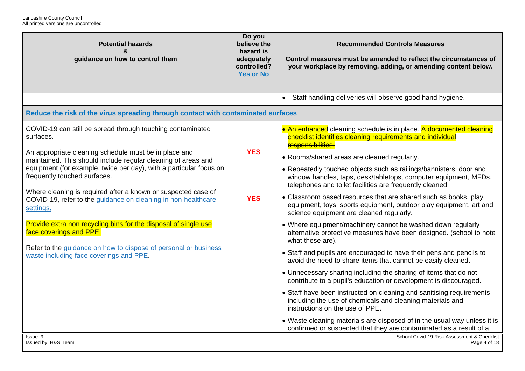| <b>Potential hazards</b><br>&<br>guidance on how to control them                                                                                                                                                                                                                                                                                                                                                                                                                                                                                                                                                                                                   | Do you<br>believe the<br>hazard is<br>adequately<br>controlled?<br><b>Yes or No</b> | <b>Recommended Controls Measures</b><br>Control measures must be amended to reflect the circumstances of<br>your workplace by removing, adding, or amending content below.                                                                                                                                                                                                                                                                                                                                                                                                                                                                                                                                                                                                                                                                                                                                                                                                                                                                                                                                                                                                                                                                                                                 |
|--------------------------------------------------------------------------------------------------------------------------------------------------------------------------------------------------------------------------------------------------------------------------------------------------------------------------------------------------------------------------------------------------------------------------------------------------------------------------------------------------------------------------------------------------------------------------------------------------------------------------------------------------------------------|-------------------------------------------------------------------------------------|--------------------------------------------------------------------------------------------------------------------------------------------------------------------------------------------------------------------------------------------------------------------------------------------------------------------------------------------------------------------------------------------------------------------------------------------------------------------------------------------------------------------------------------------------------------------------------------------------------------------------------------------------------------------------------------------------------------------------------------------------------------------------------------------------------------------------------------------------------------------------------------------------------------------------------------------------------------------------------------------------------------------------------------------------------------------------------------------------------------------------------------------------------------------------------------------------------------------------------------------------------------------------------------------|
|                                                                                                                                                                                                                                                                                                                                                                                                                                                                                                                                                                                                                                                                    |                                                                                     | Staff handling deliveries will observe good hand hygiene.                                                                                                                                                                                                                                                                                                                                                                                                                                                                                                                                                                                                                                                                                                                                                                                                                                                                                                                                                                                                                                                                                                                                                                                                                                  |
| Reduce the risk of the virus spreading through contact with contaminated surfaces                                                                                                                                                                                                                                                                                                                                                                                                                                                                                                                                                                                  |                                                                                     |                                                                                                                                                                                                                                                                                                                                                                                                                                                                                                                                                                                                                                                                                                                                                                                                                                                                                                                                                                                                                                                                                                                                                                                                                                                                                            |
| COVID-19 can still be spread through touching contaminated<br>surfaces.<br>An appropriate cleaning schedule must be in place and<br>maintained. This should include regular cleaning of areas and<br>equipment (for example, twice per day), with a particular focus on<br>frequently touched surfaces.<br>Where cleaning is required after a known or suspected case of<br>COVID-19, refer to the guidance on cleaning in non-healthcare<br>settings.<br>Provide extra non recycling bins for the disposal of single use<br>face coverings and PPE.<br>Refer to the guidance on how to dispose of personal or business<br>waste including face coverings and PPE. | <b>YES</b><br><b>YES</b>                                                            | • An enhanced cleaning schedule is in place. A documented cleaning<br>checklist identifies cleaning requirements and individual<br>responsibilities.<br>• Rooms/shared areas are cleaned regularly.<br>• Repeatedly touched objects such as railings/bannisters, door and<br>window handles, taps, desk/tabletops, computer equipment, MFDs,<br>telephones and toilet facilities are frequently cleaned.<br>• Classroom based resources that are shared such as books, play<br>equipment, toys, sports equipment, outdoor play equipment, art and<br>science equipment are cleaned regularly.<br>• Where equipment/machinery cannot be washed down regularly<br>alternative protective measures have been designed. (school to note<br>what these are).<br>• Staff and pupils are encouraged to have their pens and pencils to<br>avoid the need to share items that cannot be easily cleaned.<br>• Unnecessary sharing including the sharing of items that do not<br>contribute to a pupil's education or development is discouraged.<br>• Staff have been instructed on cleaning and sanitising requirements<br>including the use of chemicals and cleaning materials and<br>instructions on the use of PPE.<br>• Waste cleaning materials are disposed of in the usual way unless it is |
| Issue: 9<br>Issued by: H&S Team                                                                                                                                                                                                                                                                                                                                                                                                                                                                                                                                                                                                                                    |                                                                                     | confirmed or suspected that they are contaminated as a result of a<br>School Covid-19 Risk Assessment & Checklist<br>Page 4 of 18                                                                                                                                                                                                                                                                                                                                                                                                                                                                                                                                                                                                                                                                                                                                                                                                                                                                                                                                                                                                                                                                                                                                                          |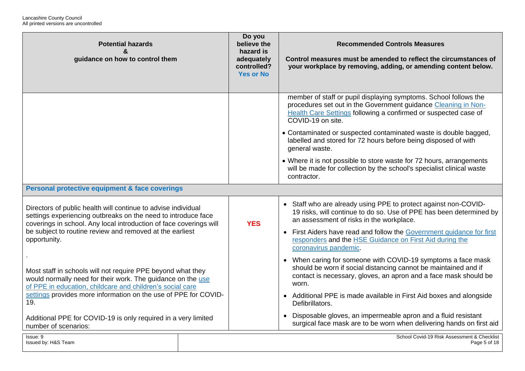| <b>Potential hazards</b><br>&<br>guidance on how to control them                                                                                                                                                                                                                 |  | Do you<br>believe the<br>hazard is<br>adequately<br>controlled?<br><b>Yes or No</b> | <b>Recommended Controls Measures</b><br>Control measures must be amended to reflect the circumstances of<br>your workplace by removing, adding, or amending content below.                                                 |
|----------------------------------------------------------------------------------------------------------------------------------------------------------------------------------------------------------------------------------------------------------------------------------|--|-------------------------------------------------------------------------------------|----------------------------------------------------------------------------------------------------------------------------------------------------------------------------------------------------------------------------|
|                                                                                                                                                                                                                                                                                  |  |                                                                                     | member of staff or pupil displaying symptoms. School follows the<br>procedures set out in the Government guidance Cleaning in Non-<br>Health Care Settings following a confirmed or suspected case of<br>COVID-19 on site. |
|                                                                                                                                                                                                                                                                                  |  |                                                                                     | • Contaminated or suspected contaminated waste is double bagged,<br>labelled and stored for 72 hours before being disposed of with<br>general waste.                                                                       |
|                                                                                                                                                                                                                                                                                  |  |                                                                                     | • Where it is not possible to store waste for 72 hours, arrangements<br>will be made for collection by the school's specialist clinical waste<br>contractor.                                                               |
| Personal protective equipment & face coverings                                                                                                                                                                                                                                   |  |                                                                                     |                                                                                                                                                                                                                            |
| Directors of public health will continue to advise individual<br>settings experiencing outbreaks on the need to introduce face<br>coverings in school. Any local introduction of face coverings will<br>be subject to routine review and removed at the earliest<br>opportunity. |  | <b>YES</b>                                                                          | • Staff who are already using PPE to protect against non-COVID-<br>19 risks, will continue to do so. Use of PPE has been determined by<br>an assessment of risks in the workplace.                                         |
|                                                                                                                                                                                                                                                                                  |  |                                                                                     | • First Aiders have read and follow the Government guidance for first<br>responders and the HSE Guidance on First Aid during the<br>coronavirus pandemic.                                                                  |
| Most staff in schools will not require PPE beyond what they<br>would normally need for their work. The guidance on the use<br>of PPE in education, childcare and children's social care<br>settings provides more information on the use of PPE for COVID-<br>19.                |  |                                                                                     | • When caring for someone with COVID-19 symptoms a face mask<br>should be worn if social distancing cannot be maintained and if<br>contact is necessary, gloves, an apron and a face mask should be<br>worn.               |
|                                                                                                                                                                                                                                                                                  |  |                                                                                     | • Additional PPE is made available in First Aid boxes and alongside<br>Defibrillators.                                                                                                                                     |
| Additional PPE for COVID-19 is only required in a very limited<br>number of scenarios:                                                                                                                                                                                           |  |                                                                                     | • Disposable gloves, an impermeable apron and a fluid resistant<br>surgical face mask are to be worn when delivering hands on first aid                                                                                    |
| Issue: 9<br>Issued by: H&S Team                                                                                                                                                                                                                                                  |  |                                                                                     | School Covid-19 Risk Assessment & Checklist<br>Page 5 of 18                                                                                                                                                                |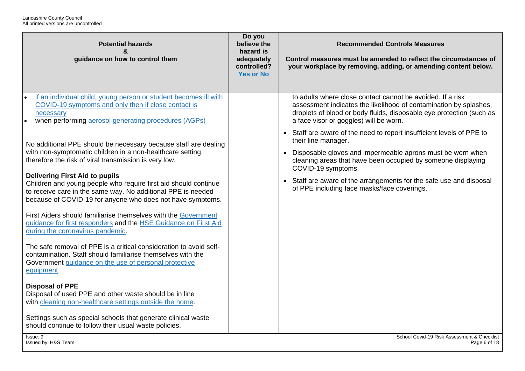| <b>Potential hazards</b><br>&<br>guidance on how to control them                                                                                                                                                                                                                                                                                                                                                                                                                                                                                                                                                                                                                                                                                                                                                                                                                                                                                                                                                                                                                                                                                                     | Do you<br>believe the<br>hazard is<br>adequately<br>controlled?<br><b>Yes or No</b> | <b>Recommended Controls Measures</b><br>Control measures must be amended to reflect the circumstances of<br>your workplace by removing, adding, or amending content below.                                                                                                                                                                                                                                                                                                                                                                                                                                                    |
|----------------------------------------------------------------------------------------------------------------------------------------------------------------------------------------------------------------------------------------------------------------------------------------------------------------------------------------------------------------------------------------------------------------------------------------------------------------------------------------------------------------------------------------------------------------------------------------------------------------------------------------------------------------------------------------------------------------------------------------------------------------------------------------------------------------------------------------------------------------------------------------------------------------------------------------------------------------------------------------------------------------------------------------------------------------------------------------------------------------------------------------------------------------------|-------------------------------------------------------------------------------------|-------------------------------------------------------------------------------------------------------------------------------------------------------------------------------------------------------------------------------------------------------------------------------------------------------------------------------------------------------------------------------------------------------------------------------------------------------------------------------------------------------------------------------------------------------------------------------------------------------------------------------|
| if an individual child, young person or student becomes ill with<br>COVID-19 symptoms and only then if close contact is<br>necessary<br>when performing aerosol generating procedures (AGPs)<br>No additional PPE should be necessary because staff are dealing<br>with non-symptomatic children in a non-healthcare setting,<br>therefore the risk of viral transmission is very low.<br><b>Delivering First Aid to pupils</b><br>Children and young people who require first aid should continue<br>to receive care in the same way. No additional PPE is needed<br>because of COVID-19 for anyone who does not have symptoms.<br>First Aiders should familiarise themselves with the Government<br>guidance for first responders and the HSE Guidance on First Aid<br>during the coronavirus pandemic.<br>The safe removal of PPE is a critical consideration to avoid self-<br>contamination. Staff should familiarise themselves with the<br>Government guidance on the use of personal protective<br>equipment.<br><b>Disposal of PPE</b><br>Disposal of used PPE and other waste should be in line<br>with cleaning non-healthcare settings outside the home. |                                                                                     | to adults where close contact cannot be avoided. If a risk<br>assessment indicates the likelihood of contamination by splashes,<br>droplets of blood or body fluids, disposable eye protection (such as<br>a face visor or goggles) will be worn.<br>• Staff are aware of the need to report insufficient levels of PPE to<br>their line manager.<br>• Disposable gloves and impermeable aprons must be worn when<br>cleaning areas that have been occupied by someone displaying<br>COVID-19 symptoms.<br>• Staff are aware of the arrangements for the safe use and disposal<br>of PPE including face masks/face coverings. |
| Settings such as special schools that generate clinical waste<br>should continue to follow their usual waste policies.<br>Issue: 9                                                                                                                                                                                                                                                                                                                                                                                                                                                                                                                                                                                                                                                                                                                                                                                                                                                                                                                                                                                                                                   |                                                                                     | School Covid-19 Risk Assessment & Checklist                                                                                                                                                                                                                                                                                                                                                                                                                                                                                                                                                                                   |
| Issued by: H&S Team                                                                                                                                                                                                                                                                                                                                                                                                                                                                                                                                                                                                                                                                                                                                                                                                                                                                                                                                                                                                                                                                                                                                                  |                                                                                     | Page 6 of 18                                                                                                                                                                                                                                                                                                                                                                                                                                                                                                                                                                                                                  |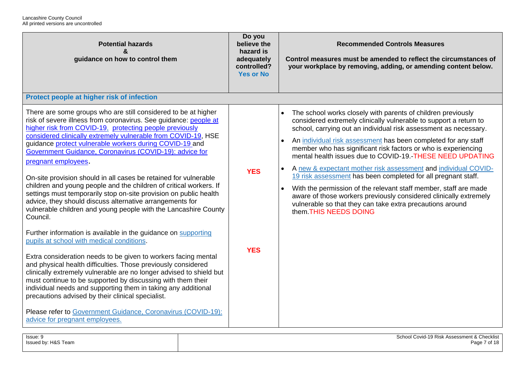| <b>Potential hazards</b><br>guidance on how to control them                                                                                                                                                                                                                                                                                                                                                                                                                                                                                                                                                                                                                                                                                                           | Do you<br>believe the<br>hazard is<br>adequately<br>controlled?<br><b>Yes or No</b> | <b>Recommended Controls Measures</b><br>Control measures must be amended to reflect the circumstances of<br>your workplace by removing, adding, or amending content below.                                                                                                                                                                                                                                                                                                                                                                                                                                                                                                                                                                                                                                       |
|-----------------------------------------------------------------------------------------------------------------------------------------------------------------------------------------------------------------------------------------------------------------------------------------------------------------------------------------------------------------------------------------------------------------------------------------------------------------------------------------------------------------------------------------------------------------------------------------------------------------------------------------------------------------------------------------------------------------------------------------------------------------------|-------------------------------------------------------------------------------------|------------------------------------------------------------------------------------------------------------------------------------------------------------------------------------------------------------------------------------------------------------------------------------------------------------------------------------------------------------------------------------------------------------------------------------------------------------------------------------------------------------------------------------------------------------------------------------------------------------------------------------------------------------------------------------------------------------------------------------------------------------------------------------------------------------------|
| Protect people at higher risk of infection                                                                                                                                                                                                                                                                                                                                                                                                                                                                                                                                                                                                                                                                                                                            |                                                                                     |                                                                                                                                                                                                                                                                                                                                                                                                                                                                                                                                                                                                                                                                                                                                                                                                                  |
| There are some groups who are still considered to be at higher<br>risk of severe illness from coronavirus. See guidance: people at<br>higher risk from COVID-19, protecting people previously<br>considered clinically extremely vulnerable from COVID-19, HSE<br>guidance protect vulnerable workers during COVID-19 and<br>Government Guidance, Coronavirus (COVID-19): advice for<br>pregnant employees.<br>On-site provision should in all cases be retained for vulnerable<br>children and young people and the children of critical workers. If<br>settings must temporarily stop on-site provision on public health<br>advice, they should discuss alternative arrangements for<br>vulnerable children and young people with the Lancashire County<br>Council. | <b>YES</b>                                                                          | The school works closely with parents of children previously<br>$\bullet$<br>considered extremely clinically vulnerable to support a return to<br>school, carrying out an individual risk assessment as necessary.<br>An individual risk assessment has been completed for any staff<br>$\bullet$<br>member who has significant risk factors or who is experiencing<br>mental health issues due to COVID-19.-THESE NEED UPDATING<br>A new & expectant mother risk assessment and individual COVID-<br>19 risk assessment has been completed for all pregnant staff.<br>With the permission of the relevant staff member, staff are made<br>$\bullet$<br>aware of those workers previously considered clinically extremely<br>vulnerable so that they can take extra precautions around<br>them. THIS NEEDS DOING |
| Further information is available in the guidance on supporting<br>pupils at school with medical conditions.<br>Extra consideration needs to be given to workers facing mental<br>and physical health difficulties. Those previously considered<br>clinically extremely vulnerable are no longer advised to shield but<br>must continue to be supported by discussing with them their<br>individual needs and supporting them in taking any additional<br>precautions advised by their clinical specialist.<br>Please refer to Government Guidance, Coronavirus (COVID-19):<br>advice for pregnant employees.                                                                                                                                                          | <b>YES</b>                                                                          |                                                                                                                                                                                                                                                                                                                                                                                                                                                                                                                                                                                                                                                                                                                                                                                                                  |

| Issue: 9            | School Covid-19 Risk Assessment & Checklist |
|---------------------|---------------------------------------------|
| Issued by: H&S Team | Page 7 of 18                                |
|                     |                                             |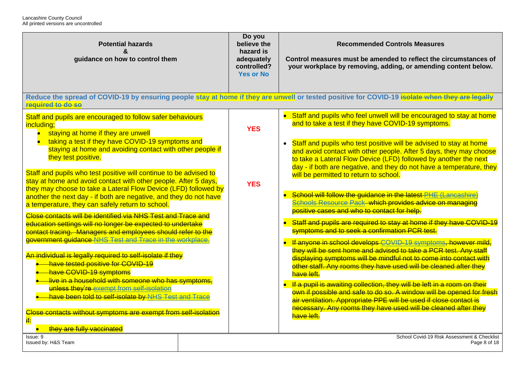| <b>Potential hazards</b><br>guidance on how to control them                                                                                                                                                                                                                                                                      | Do you<br>believe the<br>hazard is<br>adequately<br>controlled?<br><b>Yes or No</b> | <b>Recommended Controls Measures</b><br>Control measures must be amended to reflect the circumstances of<br>your workplace by removing, adding, or amending content below.                                                                                                                           |
|----------------------------------------------------------------------------------------------------------------------------------------------------------------------------------------------------------------------------------------------------------------------------------------------------------------------------------|-------------------------------------------------------------------------------------|------------------------------------------------------------------------------------------------------------------------------------------------------------------------------------------------------------------------------------------------------------------------------------------------------|
| required to do so                                                                                                                                                                                                                                                                                                                |                                                                                     | Reduce the spread of COVID-19 by ensuring people stay at home if they are unwell or tested positive for COVID-19 isolate when they are legally                                                                                                                                                       |
| Staff and pupils are encouraged to follow safer behaviours<br>including;<br>staying at home if they are unwell<br>$\bullet$                                                                                                                                                                                                      | <b>YES</b>                                                                          | • Staff and pupils who feel unwell will be encouraged to stay at home<br>and to take a test if they have COVID-19 symptoms.                                                                                                                                                                          |
| taking a test if they have COVID-19 symptoms and<br>staying at home and avoiding contact with other people if<br>they test positive.                                                                                                                                                                                             |                                                                                     | Staff and pupils who test positive will be advised to stay at home<br>and avoid contact with other people. After 5 days, they may choose<br>to take a Lateral Flow Device (LFD) followed by another the next<br>day - if both are negative, and they do not have a temperature, they                 |
| Staff and pupils who test positive will continue to be advised to<br>stay at home and avoid contact with other people. After 5 days,<br>they may choose to take a Lateral Flow Device (LFD) followed by<br>another the next day - if both are negative, and they do not have<br>a temperature, they can safely return to school. | <b>YES</b>                                                                          | will be permitted to return to school.<br>School will follow the guidance in the latest PHE (Lancashire)<br>Schools Resource Pack which provides advice on managing<br>positive cases and who to contact for help.                                                                                   |
| Close contacts will be identified via NHS Test and Trace and<br>education settings will no longer be expected to undertake<br>contact tracing. Managers and employees should refer to the                                                                                                                                        |                                                                                     | Staff and pupils are required to stay at home if they have COVID-19<br>symptoms and to seek a confirmation PCR test.                                                                                                                                                                                 |
| government guidance NHS Test and Trace in the workplace.<br>An individual is legally required to self-isolate if they<br>have tested positive for COVID-19<br>have COVID-19 symptoms<br>live in a household with someone who has symptoms,                                                                                       |                                                                                     | If anyone in school develops COVID-19 symptoms, however mild,<br>they will be sent home and advised to take a PCR test. Any staff<br>displaying symptoms will be mindful not to come into contact with<br>other staff. Any rooms they have used will be cleaned after they<br>have left.             |
| unless they're exempt from self-isolation<br>have been told to self-isolate by NHS Test and Trae<br>Close contacts without symptoms are exempt from self-isolation<br>if:                                                                                                                                                        |                                                                                     | If a pupil is awaiting collection, they will be left in a room on their<br>own if possible and safe to do so. A window will be opened for fresh<br>air ventilation. Appropriate PPE will be used if close contact is<br>necessary. Any rooms they have used will be cleaned after they<br>have left. |
| they are fully vaccinated<br>Issue: 9<br>Issued by: H&S Team                                                                                                                                                                                                                                                                     |                                                                                     | School Covid-19 Risk Assessment & Checklist<br>Page 8 of 18                                                                                                                                                                                                                                          |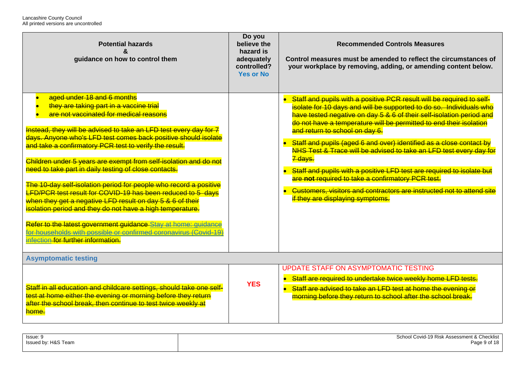| <b>Potential hazards</b><br>$\boldsymbol{\kappa}$<br>guidance on how to control them                                                                                                                                                                                                                                                                                                                                                                                                                                                                                                                                                                                                                                                                                                                                                                                                    | Do you<br>believe the<br>hazard is<br>adequately<br>controlled?<br><b>Yes or No</b> | <b>Recommended Controls Measures</b><br>Control measures must be amended to reflect the circumstances of<br>your workplace by removing, adding, or amending content below.                                                                                                                                                                                                                                                                                                                                                                                                                                                                                                                                                      |  |
|-----------------------------------------------------------------------------------------------------------------------------------------------------------------------------------------------------------------------------------------------------------------------------------------------------------------------------------------------------------------------------------------------------------------------------------------------------------------------------------------------------------------------------------------------------------------------------------------------------------------------------------------------------------------------------------------------------------------------------------------------------------------------------------------------------------------------------------------------------------------------------------------|-------------------------------------------------------------------------------------|---------------------------------------------------------------------------------------------------------------------------------------------------------------------------------------------------------------------------------------------------------------------------------------------------------------------------------------------------------------------------------------------------------------------------------------------------------------------------------------------------------------------------------------------------------------------------------------------------------------------------------------------------------------------------------------------------------------------------------|--|
| aged under 18 and 6 months<br>they are taking part in a vaccine trial<br>are not vaccinated for medical reasons<br>Instead, they will be advised to take an LFD test every day for 7<br>days. Anyone who's LFD test comes back positive should isolate<br>and take a confirmatory PCR test to verify the result.<br>Children under 5 years are exempt from self-isolation and do not<br>need to take part in daily testing of close contacts.<br>The 10-day self-isolation period for people who record a positive<br>LFD/PCR test result for COVID-19 has been reduced to 5 days<br>when they get a negative LFD result on day 5 & 6 of their<br>isolation period and they do not have a high temperature.<br>Refer to the latest government guidance Stay at home: guidance<br>for households with possible or confirmed coronavirus (Covid-19)<br>infection for further information. |                                                                                     | Staff and pupils with a positive PCR result will be required to self-<br>isolate for 10 days and will be supported to do so. Individuals who<br>have tested negative on day 5 & 6 of their self-isolation period and<br>do not have a temperature will be permitted to end their isolation<br>and return to school on day 6.<br>Staff and pupils (aged 6 and over) identified as a close contact by<br>NHS Test & Trace will be advised to take an LFD test every day for<br>7 days.<br>Staff and pupils with a positive LFD test are required to isolate but<br>are not required to take a confirmatory PCR test.<br>Customers, visitors and contractors are instructed not to attend site<br>if they are displaying symptoms. |  |
| <b>Asymptomatic testing</b>                                                                                                                                                                                                                                                                                                                                                                                                                                                                                                                                                                                                                                                                                                                                                                                                                                                             |                                                                                     |                                                                                                                                                                                                                                                                                                                                                                                                                                                                                                                                                                                                                                                                                                                                 |  |
| Staff in all education and childcare settings, should take one self-<br>test at home either the evening or morning before they return<br>after the school break, then continue to test twice weekly at<br>home.                                                                                                                                                                                                                                                                                                                                                                                                                                                                                                                                                                                                                                                                         | <b>YES</b>                                                                          | <b>UPDATE STAFF ON ASYMPTOMATIC TESTING</b><br>Staff are required to undertake twice weekly home LFD tests.<br>Staff are advised to take an LFD test at home the evening or<br>$\bullet$<br>morning before they return to school after the school break.                                                                                                                                                                                                                                                                                                                                                                                                                                                                        |  |

| Issue: 9            | School Covid-19 Risk Assessment & Checklist |
|---------------------|---------------------------------------------|
| Issued by: H&S Team |                                             |
|                     |                                             |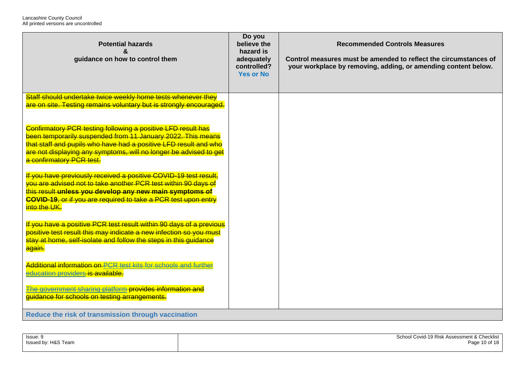| <b>Potential hazards</b><br>&<br>guidance on how to control them                                                                                                                                                                                                                                 | Do you<br>believe the<br>hazard is<br>adequately<br>controlled?<br><b>Yes or No</b> | <b>Recommended Controls Measures</b><br>Control measures must be amended to reflect the circumstances of<br>your workplace by removing, adding, or amending content below. |
|--------------------------------------------------------------------------------------------------------------------------------------------------------------------------------------------------------------------------------------------------------------------------------------------------|-------------------------------------------------------------------------------------|----------------------------------------------------------------------------------------------------------------------------------------------------------------------------|
| Staff should undertake twice weekly home tests whenever they<br>are on site. Testing remains voluntary but is strongly encouraged.                                                                                                                                                               |                                                                                     |                                                                                                                                                                            |
| Confirmatory PCR testing following a positive LFD result has<br>been temporarily suspended from 11 January 2022. This means<br>that staff and pupils who have had a positive LFD result and who<br>are not displaying any symptoms, will no longer be advised to get<br>a confirmatory PCR test. |                                                                                     |                                                                                                                                                                            |
| If you have previously received a positive COVID-19 test result.<br>you are advised not to take another PCR test within 90 days of<br>this result unless you develop any new main symptoms of<br><b>COVID-19</b> , or if you are required to take a PCR test upon entry<br>into the UK.          |                                                                                     |                                                                                                                                                                            |
| If you have a positive PCR test result within 90 days of a previous<br>positive test result this may indicate a new infection so you must<br>stay at home, self-isolate and follow the steps in this guidance<br>again.                                                                          |                                                                                     |                                                                                                                                                                            |
| Additional information on PCR test kits for schools and further<br>education providers is available.                                                                                                                                                                                             |                                                                                     |                                                                                                                                                                            |
| The government sharing platform provides information and<br>quidance for schools on testing arrangements.                                                                                                                                                                                        |                                                                                     |                                                                                                                                                                            |
| Reduce the risk of transmission through vaccination                                                                                                                                                                                                                                              |                                                                                     |                                                                                                                                                                            |

| Issue: 9            | School Covid-19 Risk Assessment & Checklist |
|---------------------|---------------------------------------------|
| Issued by: H&S Team | Page 10 of $1^\circ$                        |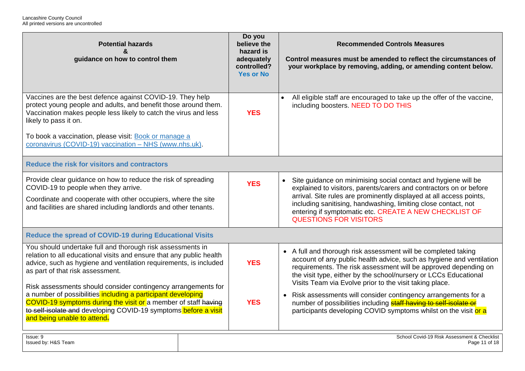| <b>Potential hazards</b><br>&<br>guidance on how to control them                                                                                                                                                                                                                                                                             | Do you<br>believe the<br>hazard is<br>adequately<br>controlled?<br><b>Yes or No</b> | <b>Recommended Controls Measures</b><br>Control measures must be amended to reflect the circumstances of<br>your workplace by removing, adding, or amending content below.                                                                                                                                                                                                            |
|----------------------------------------------------------------------------------------------------------------------------------------------------------------------------------------------------------------------------------------------------------------------------------------------------------------------------------------------|-------------------------------------------------------------------------------------|---------------------------------------------------------------------------------------------------------------------------------------------------------------------------------------------------------------------------------------------------------------------------------------------------------------------------------------------------------------------------------------|
| Vaccines are the best defence against COVID-19. They help<br>protect young people and adults, and benefit those around them.<br>Vaccination makes people less likely to catch the virus and less<br>likely to pass it on.<br>To book a vaccination, please visit: Book or manage a<br>coronavirus (COVID-19) vaccination - NHS (www.nhs.uk). | <b>YES</b>                                                                          | All eligible staff are encouraged to take up the offer of the vaccine,<br>including boosters. NEED TO DO THIS                                                                                                                                                                                                                                                                         |
| Reduce the risk for visitors and contractors                                                                                                                                                                                                                                                                                                 |                                                                                     |                                                                                                                                                                                                                                                                                                                                                                                       |
| Provide clear guidance on how to reduce the risk of spreading<br>COVID-19 to people when they arrive.<br>Coordinate and cooperate with other occupiers, where the site<br>and facilities are shared including landlords and other tenants.                                                                                                   | <b>YES</b>                                                                          | Site guidance on minimising social contact and hygiene will be<br>$\bullet$<br>explained to visitors, parents/carers and contractors on or before<br>arrival. Site rules are prominently displayed at all access points,<br>including sanitising, handwashing, limiting close contact, not<br>entering if symptomatic etc. CREATE A NEW CHECKLIST OF<br><b>QUESTIONS FOR VISITORS</b> |
| <b>Reduce the spread of COVID-19 during Educational Visits</b>                                                                                                                                                                                                                                                                               |                                                                                     |                                                                                                                                                                                                                                                                                                                                                                                       |
| You should undertake full and thorough risk assessments in<br>relation to all educational visits and ensure that any public health<br>advice, such as hygiene and ventilation requirements, is included<br>as part of that risk assessment.<br>Risk assessments should consider contingency arrangements for                                 | <b>YES</b>                                                                          | • A full and thorough risk assessment will be completed taking<br>account of any public health advice, such as hygiene and ventilation<br>requirements. The risk assessment will be approved depending on<br>the visit type, either by the school/nursery or LCCs Educational<br>Visits Team via Evolve prior to the visit taking place.                                              |
| a number of possibilities including a participant developing<br>COVID-19 symptoms during the visit or a member of staff having<br>to self-isolate and developing COVID-19 symptoms before a visit<br>and being unable to attend.                                                                                                             | <b>YES</b>                                                                          | Risk assessments will consider contingency arrangements for a<br>$\bullet$<br>number of possibilities including staff having to self-isolate or<br>participants developing COVID symptoms whilst on the visit or a                                                                                                                                                                    |
| Issue: 9<br>Issued by: H&S Team                                                                                                                                                                                                                                                                                                              |                                                                                     | School Covid-19 Risk Assessment & Checklist<br>Page 11 of 18                                                                                                                                                                                                                                                                                                                          |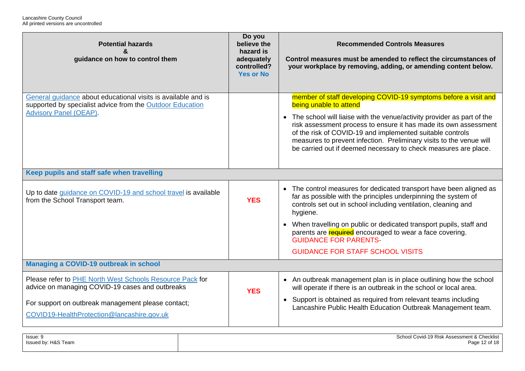| <b>Potential hazards</b><br>&<br>guidance on how to control them                                                                                                                                                | Do you<br>believe the<br>hazard is<br>adequately<br>controlled?<br><b>Yes or No</b> | <b>Recommended Controls Measures</b><br>Control measures must be amended to reflect the circumstances of<br>your workplace by removing, adding, or amending content below.                                                                                                                                                                                                                                                                       |  |
|-----------------------------------------------------------------------------------------------------------------------------------------------------------------------------------------------------------------|-------------------------------------------------------------------------------------|--------------------------------------------------------------------------------------------------------------------------------------------------------------------------------------------------------------------------------------------------------------------------------------------------------------------------------------------------------------------------------------------------------------------------------------------------|--|
| General guidance about educational visits is available and is<br>supported by specialist advice from the Outdoor Education<br><b>Advisory Panel (OEAP).</b>                                                     |                                                                                     | member of staff developing COVID-19 symptoms before a visit and<br>being unable to attend<br>• The school will liaise with the venue/activity provider as part of the<br>risk assessment process to ensure it has made its own assessment<br>of the risk of COVID-19 and implemented suitable controls<br>measures to prevent infection. Preliminary visits to the venue will<br>be carried out if deemed necessary to check measures are place. |  |
| Keep pupils and staff safe when travelling                                                                                                                                                                      |                                                                                     |                                                                                                                                                                                                                                                                                                                                                                                                                                                  |  |
| Up to date guidance on COVID-19 and school travel is available<br>from the School Transport team.                                                                                                               | <b>YES</b>                                                                          | • The control measures for dedicated transport have been aligned as<br>far as possible with the principles underpinning the system of<br>controls set out in school including ventilation, cleaning and<br>hygiene.<br>• When travelling on public or dedicated transport pupils, staff and<br>parents are required encouraged to wear a face covering.<br><b>GUIDANCE FOR PARENTS-</b>                                                          |  |
|                                                                                                                                                                                                                 |                                                                                     | <b>GUIDANCE FOR STAFF SCHOOL VISITS</b>                                                                                                                                                                                                                                                                                                                                                                                                          |  |
| Managing a COVID-19 outbreak in school                                                                                                                                                                          |                                                                                     |                                                                                                                                                                                                                                                                                                                                                                                                                                                  |  |
| Please refer to PHE North West Schools Resource Pack for<br>advice on managing COVID-19 cases and outbreaks<br>For support on outbreak management please contact;<br>COVID19-HealthProtection@lancashire.gov.uk | <b>YES</b>                                                                          | • An outbreak management plan is in place outlining how the school<br>will operate if there is an outbreak in the school or local area.<br>• Support is obtained as required from relevant teams including<br>Lancashire Public Health Education Outbreak Management team.                                                                                                                                                                       |  |
|                                                                                                                                                                                                                 |                                                                                     |                                                                                                                                                                                                                                                                                                                                                                                                                                                  |  |

| Issue: 9            | School Covid-19 Risk Assessment & Checklist |
|---------------------|---------------------------------------------|
| Issued by: H&S Team | Page 12 of 18                               |
|                     |                                             |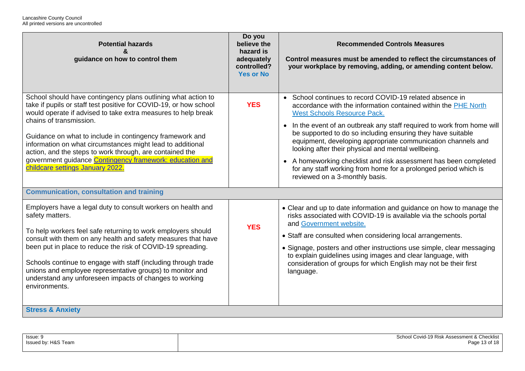| <b>Potential hazards</b><br>&<br>guidance on how to control them                                                                                                                                                                                                                                                                                                                                                                                                                                                     | Do you<br>believe the<br>hazard is<br>adequately<br>controlled?<br><b>Yes or No</b> | <b>Recommended Controls Measures</b><br>Control measures must be amended to reflect the circumstances of<br>your workplace by removing, adding, or amending content below.                                                                                                                                                                                                                                                                                                                                                                                                                                           |
|----------------------------------------------------------------------------------------------------------------------------------------------------------------------------------------------------------------------------------------------------------------------------------------------------------------------------------------------------------------------------------------------------------------------------------------------------------------------------------------------------------------------|-------------------------------------------------------------------------------------|----------------------------------------------------------------------------------------------------------------------------------------------------------------------------------------------------------------------------------------------------------------------------------------------------------------------------------------------------------------------------------------------------------------------------------------------------------------------------------------------------------------------------------------------------------------------------------------------------------------------|
| School should have contingency plans outlining what action to<br>take if pupils or staff test positive for COVID-19, or how school<br>would operate if advised to take extra measures to help break<br>chains of transmission.<br>Guidance on what to include in contingency framework and<br>information on what circumstances might lead to additional<br>action, and the steps to work through, are contained the<br>government guidance Contingency framework: education and<br>childcare settings January 2022. | <b>YES</b>                                                                          | • School continues to record COVID-19 related absence in<br>accordance with the information contained within the PHE North<br><b>West Schools Resource Pack.</b><br>In the event of an outbreak any staff required to work from home will<br>$\bullet$<br>be supported to do so including ensuring they have suitable<br>equipment, developing appropriate communication channels and<br>looking after their physical and mental wellbeing.<br>• A homeworking checklist and risk assessment has been completed<br>for any staff working from home for a prolonged period which is<br>reviewed on a 3-monthly basis. |
| <b>Communication, consultation and training</b>                                                                                                                                                                                                                                                                                                                                                                                                                                                                      |                                                                                     |                                                                                                                                                                                                                                                                                                                                                                                                                                                                                                                                                                                                                      |
| Employers have a legal duty to consult workers on health and<br>safety matters.<br>To help workers feel safe returning to work employers should<br>consult with them on any health and safety measures that have<br>been put in place to reduce the risk of COVID-19 spreading.<br>Schools continue to engage with staff (including through trade<br>unions and employee representative groups) to monitor and<br>understand any unforeseen impacts of changes to working<br>environments.                           | <b>YES</b>                                                                          | • Clear and up to date information and guidance on how to manage the<br>risks associated with COVID-19 is available via the schools portal<br>and Government website.<br>• Staff are consulted when considering local arrangements.<br>• Signage, posters and other instructions use simple, clear messaging<br>to explain guidelines using images and clear language, with<br>consideration of groups for which English may not be their first<br>language.                                                                                                                                                         |
| <b>Stress &amp; Anxiety</b>                                                                                                                                                                                                                                                                                                                                                                                                                                                                                          |                                                                                     |                                                                                                                                                                                                                                                                                                                                                                                                                                                                                                                                                                                                                      |

| Issue: 9            | School Covid-19 Risk Assessment & Checklist |
|---------------------|---------------------------------------------|
| Issued by: H&S Team | 13 of 18؛<br>Page                           |
|                     |                                             |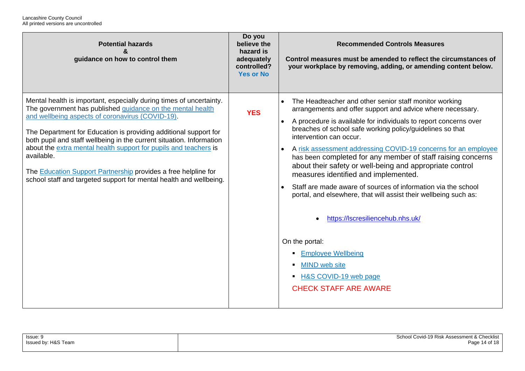| <b>Potential hazards</b><br>guidance on how to control them                                                                                                                                                                                                                                                                                                                                                                                                                                                                                                 | Do you<br>believe the<br>hazard is<br>adequately<br>controlled?<br><b>Yes or No</b> | <b>Recommended Controls Measures</b><br>Control measures must be amended to reflect the circumstances of<br>your workplace by removing, adding, or amending content below.                                                                                                                                                                                                                                                                                                                                                                                                                                                                                                                                                                                                                                                                                 |
|-------------------------------------------------------------------------------------------------------------------------------------------------------------------------------------------------------------------------------------------------------------------------------------------------------------------------------------------------------------------------------------------------------------------------------------------------------------------------------------------------------------------------------------------------------------|-------------------------------------------------------------------------------------|------------------------------------------------------------------------------------------------------------------------------------------------------------------------------------------------------------------------------------------------------------------------------------------------------------------------------------------------------------------------------------------------------------------------------------------------------------------------------------------------------------------------------------------------------------------------------------------------------------------------------------------------------------------------------------------------------------------------------------------------------------------------------------------------------------------------------------------------------------|
| Mental health is important, especially during times of uncertainty.<br>The government has published guidance on the mental health<br>and wellbeing aspects of coronavirus (COVID-19).<br>The Department for Education is providing additional support for<br>both pupil and staff wellbeing in the current situation. Information<br>about the extra mental health support for pupils and teachers is<br>available.<br>The Education Support Partnership provides a free helpline for<br>school staff and targeted support for mental health and wellbeing. | <b>YES</b>                                                                          | The Headteacher and other senior staff monitor working<br>arrangements and offer support and advice where necessary.<br>A procedure is available for individuals to report concerns over<br>$\bullet$<br>breaches of school safe working policy/guidelines so that<br>intervention can occur.<br>A risk assessment addressing COVID-19 concerns for an employee<br>$\bullet$<br>has been completed for any member of staff raising concerns<br>about their safety or well-being and appropriate control<br>measures identified and implemented.<br>Staff are made aware of sources of information via the school<br>portal, and elsewhere, that will assist their wellbeing such as:<br>https://lscresiliencehub.nhs.uk/<br>On the portal:<br><b>Employee Wellbeing</b><br><b>MIND</b> web site<br>- H&S COVID-19 web page<br><b>CHECK STAFF ARE AWARE</b> |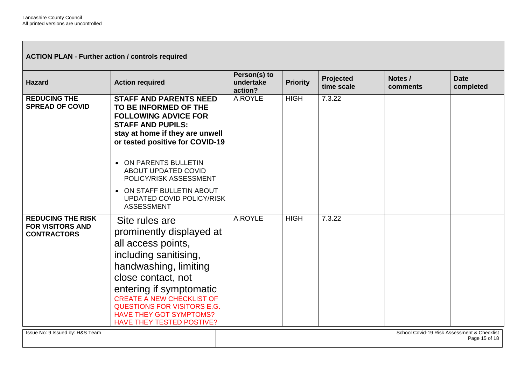**ACTION PLAN - Further action / controls required** 

| <b>Hazard</b>                                                             | <b>Action required</b>                                                                                                                                                                                                                                                                                              | Person(s) to<br>undertake<br>action? | <b>Priority</b> | <b>Projected</b><br>time scale | Notes /<br>comments | <b>Date</b><br>completed                                     |
|---------------------------------------------------------------------------|---------------------------------------------------------------------------------------------------------------------------------------------------------------------------------------------------------------------------------------------------------------------------------------------------------------------|--------------------------------------|-----------------|--------------------------------|---------------------|--------------------------------------------------------------|
| <b>REDUCING THE</b><br><b>SPREAD OF COVID</b>                             | <b>STAFF AND PARENTS NEED</b><br>TO BE INFORMED OF THE<br><b>FOLLOWING ADVICE FOR</b><br><b>STAFF AND PUPILS:</b><br>stay at home if they are unwell<br>or tested positive for COVID-19                                                                                                                             | A.ROYLE                              | <b>HIGH</b>     | 7.3.22                         |                     |                                                              |
|                                                                           | ON PARENTS BULLETIN<br>$\bullet$<br>ABOUT UPDATED COVID<br>POLICY/RISK ASSESSMENT                                                                                                                                                                                                                                   |                                      |                 |                                |                     |                                                              |
|                                                                           | ON STAFF BULLETIN ABOUT<br>$\bullet$<br><b>UPDATED COVID POLICY/RISK</b><br><b>ASSESSMENT</b>                                                                                                                                                                                                                       |                                      |                 |                                |                     |                                                              |
| <b>REDUCING THE RISK</b><br><b>FOR VISITORS AND</b><br><b>CONTRACTORS</b> | Site rules are<br>prominently displayed at<br>all access points,<br>including sanitising,<br>handwashing, limiting<br>close contact, not<br>entering if symptomatic<br><b>CREATE A NEW CHECKLIST OF</b><br><b>QUESTIONS FOR VISITORS E.G.</b><br><b>HAVE THEY GOT SYMPTOMS?</b><br><b>HAVE THEY TESTED POSTIVE?</b> | A.ROYLE                              | <b>HIGH</b>     | 7.3.22                         |                     |                                                              |
| Issue No: 9 Issued by: H&S Team                                           |                                                                                                                                                                                                                                                                                                                     |                                      |                 |                                |                     | School Covid-19 Risk Assessment & Checklist<br>Page 15 of 18 |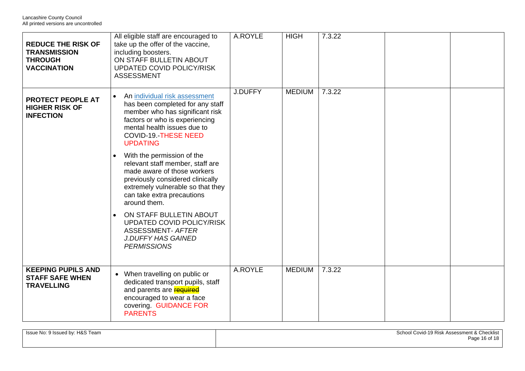| <b>REDUCE THE RISK OF</b><br><b>TRANSMISSION</b><br><b>THROUGH</b><br><b>VACCINATION</b> | All eligible staff are encouraged to<br>take up the offer of the vaccine,<br>including boosters.<br>ON STAFF BULLETIN ABOUT<br><b>UPDATED COVID POLICY/RISK</b><br><b>ASSESSMENT</b>                                                 | A.ROYLE | <b>HIGH</b>   | 7.3.22 |  |
|------------------------------------------------------------------------------------------|--------------------------------------------------------------------------------------------------------------------------------------------------------------------------------------------------------------------------------------|---------|---------------|--------|--|
| <b>PROTECT PEOPLE AT</b><br><b>HIGHER RISK OF</b><br><b>INFECTION</b>                    | An individual risk assessment<br>$\bullet$<br>has been completed for any staff<br>member who has significant risk<br>factors or who is experiencing<br>mental health issues due to<br><b>COVID-19.-THESE NEED</b><br><b>UPDATING</b> | J.DUFFY | <b>MEDIUM</b> | 7.3.22 |  |
|                                                                                          | With the permission of the<br>$\bullet$<br>relevant staff member, staff are<br>made aware of those workers<br>previously considered clinically<br>extremely vulnerable so that they<br>can take extra precautions<br>around them.    |         |               |        |  |
|                                                                                          | ON STAFF BULLETIN ABOUT<br>$\bullet$<br><b>UPDATED COVID POLICY/RISK</b><br><b>ASSESSMENT- AFTER</b><br><b>J.DUFFY HAS GAINED</b><br><b>PERMISSIONS</b>                                                                              |         |               |        |  |
| <b>KEEPING PUPILS AND</b><br><b>STAFF SAFE WHEN</b><br><b>TRAVELLING</b>                 | • When travelling on public or<br>dedicated transport pupils, staff<br>and parents are <b>required</b><br>encouraged to wear a face<br>covering. GUIDANCE FOR<br><b>PARENTS</b>                                                      | A.ROYLE | <b>MEDIUM</b> | 7.3.22 |  |

| Issue No: 9 Issued by: H&S Team | School Covid-19 Risk Assessment & Checklist |
|---------------------------------|---------------------------------------------|
|                                 | Page 16 of                                  |
|                                 |                                             |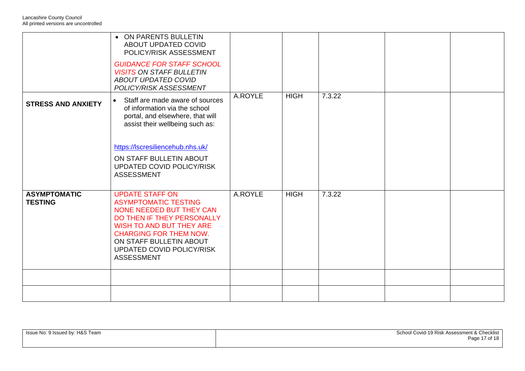| <b>STRESS AND ANXIETY</b>             | • ON PARENTS BULLETIN<br>ABOUT UPDATED COVID<br>POLICY/RISK ASSESSMENT<br><b>GUIDANCE FOR STAFF SCHOOL</b><br><b>VISITS ON STAFF BULLETIN</b><br><b>ABOUT UPDATED COVID</b><br>POLICY/RISK ASSESSMENT<br>Staff are made aware of sources<br>$\bullet$<br>of information via the school | A.ROYLE | <b>HIGH</b> | 7.3.22 |  |
|---------------------------------------|----------------------------------------------------------------------------------------------------------------------------------------------------------------------------------------------------------------------------------------------------------------------------------------|---------|-------------|--------|--|
|                                       | portal, and elsewhere, that will<br>assist their wellbeing such as:<br>https://lscresiliencehub.nhs.uk/<br>ON STAFF BULLETIN ABOUT<br>UPDATED COVID POLICY/RISK<br><b>ASSESSMENT</b>                                                                                                   |         |             |        |  |
| <b>ASYMPTOMATIC</b><br><b>TESTING</b> | <b>UPDATE STAFF ON</b><br><b>ASYMPTOMATIC TESTING</b><br>NONE NEEDED BUT THEY CAN<br>DO THEN IF THEY PERSONALLY<br><b>WISH TO AND BUT THEY ARE</b><br><b>CHARGING FOR THEM NOW.</b><br>ON STAFF BULLETIN ABOUT<br>UPDATED COVID POLICY/RISK<br><b>ASSESSMENT</b>                       | A.ROYLE | <b>HIGH</b> | 7.3.22 |  |
|                                       |                                                                                                                                                                                                                                                                                        |         |             |        |  |
|                                       |                                                                                                                                                                                                                                                                                        |         |             |        |  |

| Issue No: 9 Issued by: H&S Team | School Covid-19 Risk Assessment & Checklist |
|---------------------------------|---------------------------------------------|
|                                 | Page 17 of 18                               |
|                                 |                                             |